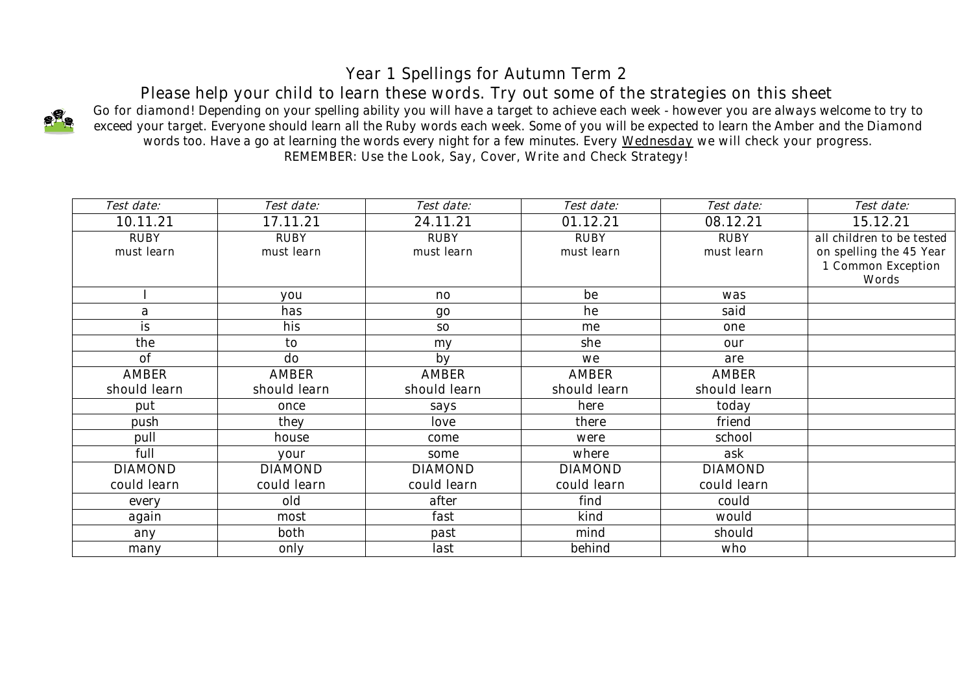## *Year 1 Spellings for Autumn Term 2*

*Please help your child to learn these words. Try out some of the strategies on this sheet*



*Go for diamond! Depending on your spelling ability you will have a target to achieve each week - however you are always welcome to try to exceed your target. Everyone should learn all the Ruby words each week. Some of you will be expected to learn the Amber and the Diamond words too. Have a go at learning the words every night for a few minutes. Every Wednesday we will check your progress. REMEMBER: Use the Look, Say, Cover, Write and Check Strategy!*

| Test date:     | Test date:     | Test date:     | Test date:     | Test date:     | Test date:                |
|----------------|----------------|----------------|----------------|----------------|---------------------------|
| 10.11.21       | 17.11.21       | 24.11.21       | 01.12.21       | 08.12.21       | 15.12.21                  |
| RUBY           | RUBY           | RUBY           | <b>RUBY</b>    | <b>RUBY</b>    | all children to be tested |
| must learn     | must learn     | must learn     | must learn     | must learn     | on spelling the 45 Year   |
|                |                |                |                |                | 1 Common Exception        |
|                |                |                |                |                | Words                     |
|                | you            | no             | be             | was            |                           |
| a              | has            | $90^{\circ}$   | he             | said           |                           |
| is             | his            | SO             | me             | one            |                           |
| the            | to             | my             | she            | our            |                           |
| 0f             | do             | by             | we             | are            |                           |
| <b>AMBER</b>   | AMBER          | <b>AMBER</b>   | <b>AMBER</b>   | AMBER          |                           |
| should learn   | should learn   | should learn   | should learn   | should learn   |                           |
| put            | once           | says           | here           | today          |                           |
| push           | they           | love           | there          | friend         |                           |
| pull           | house          | come           | were           | school         |                           |
| full           | your           | some           | where          | ask            |                           |
| <b>DIAMOND</b> | <b>DIAMOND</b> | <b>DIAMOND</b> | <b>DIAMOND</b> | <b>DIAMOND</b> |                           |
| could learn    | could learn    | could learn    | could learn    | could learn    |                           |
| every          | old            | after          | find           | could          |                           |
| again          | most           | fast           | kind           | would          |                           |
| any            | both           | past           | mind           | should         |                           |
| many           | only           | last           | behind         | who            |                           |